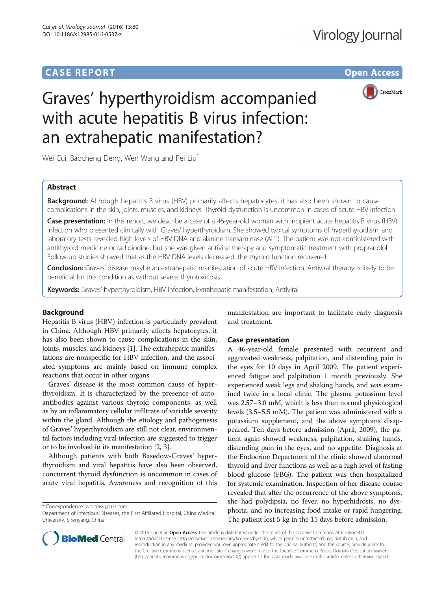# **CASE REPORT CASE REPORT CASE REPORT**



# Graves' hyperthyroidism accompanied with acute hepatitis B virus infection: an extrahepatic manifestation?

Wei Cui, Baocheng Deng, Wen Wang and Pei Liu<sup>\*</sup>

# Abstract

**Background:** Although hepatitis B virus (HBV) primarily affects hepatocytes, it has also been shown to cause complications in the skin, joints, muscles, and kidneys. Thyroid dysfunction is uncommon in cases of acute HBV infection.

Case presentation: In this report, we describe a case of a 46-year-old woman with incipient acute hepatitis B virus (HBV) infection who presented clinically with Graves' hyperthyroidism. She showed typical symptoms of hyperthyroidism, and laboratory tests revealed high levels of HBV DNA and alanine transaminase (ALT). The patient was not administered with antithyroid medicine or radioiodine, but she was given antiviral therapy and symptomatic treatment with propranolol. Follow-up studies showed that as the HBV DNA levels decreased, the thyroid function recovered.

Conclusion: Graves' disease maybe an extrahepatic manifestation of acute HBV infection. Antiviral therapy is likely to be beneficial for this condition as without severe thyrotoxicosis.

Keywords: Graves' hyperthyroidism, HBV infection, Extrahepatic manifestation, Antiviral

# Background

Hepatitis B virus (HBV) infection is particularly prevalent in China. Although HBV primarily affects hepatocytes, it has also been shown to cause complications in the skin, joints, muscles, and kidneys [\[1](#page-3-0)]. The extrahepatic manifestations are nonspecific for HBV infection, and the associated symptoms are mainly based on immune complex reactions that occur in other organs.

Graves' disease is the most common cause of hyperthyroidism. It is characterized by the presence of autoantibodies against various thyroid components, as well as by an inflammatory cellular infiltrate of variable severity within the gland. Although the etiology and pathogenesis of Graves' hyperthyroidism are still not clear, environmental factors including viral infection are suggested to trigger or to be involved in its manifestation [\[2](#page-3-0), [3\]](#page-3-0).

Although patients with both Basedow-Graves' hyperthyroidism and viral hepatitis have also been observed, concurrent thyroid dysfunction is uncommon in cases of acute viral hepatitis. Awareness and recognition of this

\* Correspondence: [weicuisy@163.com](mailto:weicuisy@163.com)

manifestation are important to facilitate early diagnosis and treatment.

# Case presentation

A 46-year-old female presented with recurrent and aggravated weakness, palpitation, and distending pain in the eyes for 10 days in April 2009. The patient experienced fatigue and palpitation 1 month previously. She experienced weak legs and shaking hands, and was examined twice in a local clinic. The plasma potassium level was 2.57–3.0 mM, which is less than normal physiological levels (3.5–5.5 mM). The patient was administered with a potassium supplement, and the above symptoms disappeared. Ten days before admission (April, 2009), the patient again showed weakness, palpitation, shaking hands, distending pain in the eyes, and no appetite. Diagnosis at the Endocrine Department of the clinic showed abnormal thyroid and liver functions as well as a high level of fasting blood glucose (FBG). The patient was then hospitalized for systemic examination. Inspection of her disease course revealed that after the occurrence of the above symptoms, she had polydipsia, no fever, no hyperhidrosis, no dysphoria, and no increasing food intake or rapid hungering. The patient lost 5 kg in the 15 days before admission.



© 2016 Cui et al. Open Access This article is distributed under the terms of the Creative Commons Attribution 4.0 International License [\(http://creativecommons.org/licenses/by/4.0/](http://creativecommons.org/licenses/by/4.0/)), which permits unrestricted use, distribution, and reproduction in any medium, provided you give appropriate credit to the original author(s) and the source, provide a link to the Creative Commons license, and indicate if changes were made. The Creative Commons Public Domain Dedication waiver [\(http://creativecommons.org/publicdomain/zero/1.0/](http://creativecommons.org/publicdomain/zero/1.0/)) applies to the data made available in this article, unless otherwise stated.

Department of Infectious Diseases, the First Affiliated Hospital, China Medical University, Shenyang, China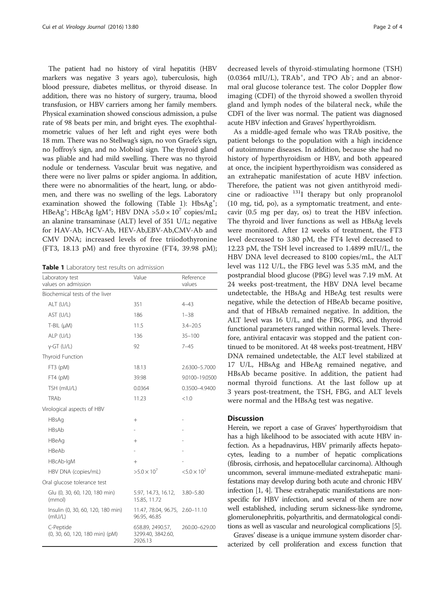The patient had no history of viral hepatitis (HBV markers was negative 3 years ago), tuberculosis, high blood pressure, diabetes mellitus, or thyroid disease. In addition, there was no history of surgery, trauma, blood transfusion, or HBV carriers among her family members. Physical examination showed conscious admission, a pulse rate of 98 beats per min, and bright eyes. The exophthalmometric values of her left and right eyes were both 18 mm. There was no Stellwag's sign, no von Graefe's sign, no Joffroy's sign, and no Mobiud sign. The thyroid gland was pliable and had mild swelling. There was no thyroid nodule or tenderness. Vascular bruit was negative, and there were no liver palms or spider angioma. In addition, there were no abnormalities of the heart, lung, or abdomen, and there was no swelling of the legs. Laboratory examination showed the following (Table 1): HbsAg<sup>+</sup>;  $HBeAg^+$ ; HBcAg IgM<sup>+</sup>; HBV DNA >5.0 × 10<sup>7</sup> copies/mL; an alanine transaminase (ALT) level of 351 U/L; negative for HAV-Ab, HCV-Ab, HEV-Ab,EBV-Ab,CMV-Ab and CMV DNA; increased levels of free triiodothyronine (FT3, 18.13 pM) and free thyroxine (FT4, 39.98 pM);

Table 1 Laboratory test results on admission

| Laboratory test<br>values on admission       | Value                                            | Reference<br>values   |
|----------------------------------------------|--------------------------------------------------|-----------------------|
| Biochemical tests of the liver               |                                                  |                       |
| ALT (U/L)                                    | 351                                              | $4 - 43$              |
| AST (U/L)                                    | 186                                              | $1 - 38$              |
| $T-BIL$ ( $\mu$ M)                           | 11.5                                             | $3.4 - 20.5$          |
| ALP (U/L)                                    | 136                                              | $35 - 100$            |
| $y$ -GT (U/L)                                | 92                                               | $7 - 45$              |
| Thyroid Function                             |                                                  |                       |
| FT3 (pM)                                     | 18.13                                            | 2.6300-5.7000         |
| FT4 (pM)                                     | 39.98                                            | 9.0100-19.0500        |
| TSH (mIU/L)                                  | 0.0364                                           | 0.3500-4.9400         |
| TRAb                                         | 11.23                                            | < 1.0                 |
| Virological aspects of HBV                   |                                                  |                       |
| <b>HBsAg</b>                                 | $+$                                              |                       |
| HBsAb                                        |                                                  |                       |
| HBeAg                                        | $^{+}$                                           |                       |
| HBeAb                                        |                                                  |                       |
| HBcAb-IgM                                    | $+$                                              |                       |
| HBV DNA (copies/mL)                          | $>5.0 \times 10^{7}$                             | $< 5.0 \times 10^{2}$ |
| Oral glucose tolerance test                  |                                                  |                       |
| Glu (0, 30, 60, 120, 180 min)<br>(mmol)      | 5.97, 14.73, 16.12,<br>15.85, 11.72              | $3.80 - 5.80$         |
| Insulin (0, 30, 60, 120, 180 min)<br>(mIU/L) | 11.47, 78.04, 96.75, 2.60-11.10<br>96.95, 46.85  |                       |
| C-Peptide<br>(0, 30, 60, 120, 180 min) (pM)  | 658.89, 2490.57,<br>3299.40, 3842.60,<br>2926.13 | 260.00-629.00         |

decreased levels of thyroid-stimulating hormone (TSH)  $(0.0364 \text{ mIU/L})$ , TRAb<sup>+</sup>, and TPO Ab<sup>-</sup>; and an abnormal oral glucose tolerance test. The color Doppler flow imaging (CDFI) of the thyroid showed a swollen thyroid gland and lymph nodes of the bilateral neck, while the CDFI of the liver was normal. The patient was diagnosed acute HBV infection and Graves' hyperthyroidism.

As a middle-aged female who was TRAb positive, the patient belongs to the population with a high incidence of autoimmune diseases. In addition, because she had no history of hyperthyroidism or HBV, and both appeared at once, the incipient hyperthyroidism was considered as an extrahepatic manifestation of acute HBV infection. Therefore, the patient was not given antithyroid medicine or radioactive  $131$ <sup>I</sup> therapy but only propranolol (10 mg, tid, po), as a symptomatic treatment, and entecavir (0.5 mg per day, os) to treat the HBV infection. The thyroid and liver functions as well as HBsAg levels were monitored. After 12 weeks of treatment, the FT3 level decreased to 3.80 pM, the FT4 level decreased to 12.23 pM, the TSH level increased to 1.4899 mIU/L, the HBV DNA level decreased to 8100 copies/mL, the ALT level was 112 U/L, the FBG level was 5.35 mM, and the postprandial blood glucose (PBG) level was 7.19 mM. At 24 weeks post-treatment, the HBV DNA level became undetectable, the HBsAg and HBeAg test results were negative, while the detection of HBeAb became positive, and that of HBsAb remained negative. In addition, the ALT level was 16 U/L, and the FBG, PBG, and thyroid functional parameters ranged within normal levels. Therefore, antiviral entacavir was stopped and the patient continued to be monitored. At 48 weeks post-treatment, HBV DNA remained undetectable, the ALT level stabilized at 17 U/L, HBsAg and HBeAg remained negative, and HBsAb became positive. In addition, the patient had normal thyroid functions. At the last follow up at 3 years post-treatment, the TSH, FBG, and ALT levels were normal and the HBsAg test was negative.

## **Discussion**

Herein, we report a case of Graves' hyperthyroidism that has a high likelihood to be associated with acute HBV infection. As a hepadnavirus, HBV primarily affects hepatocytes, leading to a number of hepatic complications (fibrosis, cirrhosis, and hepatocellular carcinoma). Although uncommon, several immune-mediated extrahepatic manifestations may develop during both acute and chronic HBV infection [\[1, 4\]](#page-3-0). These extrahepatic manifestations are nonspecific for HBV infection, and several of them are now well established, including serum sickness-like syndrome, glomerulonephritis, polyarthritis, and dermatological conditions as well as vascular and neurological complications [[5](#page-3-0)].

Graves' disease is a unique immune system disorder characterized by cell proliferation and excess function that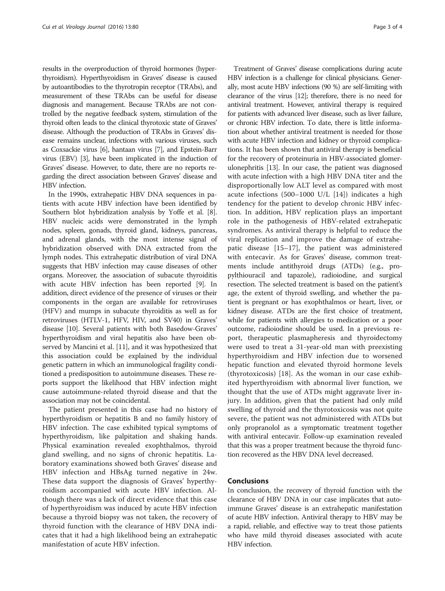results in the overproduction of thyroid hormones (hyperthyroidism). Hyperthyroidism in Graves' disease is caused by autoantibodies to the thyrotropin receptor (TRAbs), and measurement of these TRAbs can be useful for disease diagnosis and management. Because TRAbs are not controlled by the negative feedback system, stimulation of the thyroid often leads to the clinical thyrotoxic state of Graves' disease. Although the production of TRAbs in Graves' disease remains unclear, infections with various viruses, such as Coxsackie virus [[6](#page-3-0)], hantaan virus [\[7\]](#page-3-0), and Epstein-Barr virus (EBV) [\[3](#page-3-0)], have been implicated in the induction of Graves' disease. However, to date, there are no reports regarding the direct association between Graves' disease and HBV infection.

In the 1990s, extrahepatic HBV DNA sequences in patients with acute HBV infection have been identified by Southern blot hybridization analysis by Yoffe et al. [[8](#page-3-0)]. HBV nucleic acids were demonstrated in the lymph nodes, spleen, gonads, thyroid gland, kidneys, pancreas, and adrenal glands, with the most intense signal of hybridization observed with DNA extracted from the lymph nodes. This extrahepatic distribution of viral DNA suggests that HBV infection may cause diseases of other organs. Moreover, the association of subacute thyroiditis with acute HBV infection has been reported [\[9](#page-3-0)]. In addition, direct evidence of the presence of viruses or their components in the organ are available for retroviruses (HFV) and mumps in subacute thyroiditis as well as for retroviruses (HTLV-1, HFV, HIV, and SV40) in Graves' disease [[10](#page-3-0)]. Several patients with both Basedow-Graves' hyperthyroidism and viral hepatitis also have been observed by Mancini et al. [[11](#page-3-0)], and it was hypothesized that this association could be explained by the individual genetic pattern in which an immunological fragility conditioned a predisposition to autoimmune diseases. These reports support the likelihood that HBV infection might cause autoimmune-related thyroid disease and that the association may not be coincidental.

The patient presented in this case had no history of hyperthyroidism or hepatitis B and no family history of HBV infection. The case exhibited typical symptoms of hyperthyroidism, like palpitation and shaking hands. Physical examination revealed exophthalmos, thyroid gland swelling, and no signs of chronic hepatitis. Laboratory examinations showed both Graves' disease and HBV infection and HBsAg turned negative in 24w. These data support the diagnosis of Graves' hyperthyroidism accompanied with acute HBV infection. Although there was a lack of direct evidence that this case of hyperthyroidism was induced by acute HBV infection because a thyroid biopsy was not taken, the recovery of thyroid function with the clearance of HBV DNA indicates that it had a high likelihood being an extrahepatic manifestation of acute HBV infection.

Treatment of Graves' disease complications during acute HBV infection is a challenge for clinical physicians. Generally, most acute HBV infections (90 %) are self-limiting with clearance of the virus [\[12](#page-3-0)]; therefore, there is no need for antiviral treatment. However, antiviral therapy is required for patients with advanced liver disease, such as liver failure, or chronic HBV infection. To date, there is little information about whether antiviral treatment is needed for those with acute HBV infection and kidney or thyroid complications. It has been shown that antiviral therapy is beneficial for the recovery of proteinuria in HBV-associated glomerulonephritis [[13](#page-3-0)]. In our case, the patient was diagnosed with acute infection with a high HBV DNA titer and the disproportionally low ALT level as compared with most acute infections (500–1000 U/L [\[14](#page-3-0)]) indicates a high tendency for the patient to develop chronic HBV infection. In addition, HBV replication plays an important role in the pathogenesis of HBV-related extrahepatic syndromes. As antiviral therapy is helpful to reduce the viral replication and improve the damage of extrahepatic disease [\[15](#page-3-0)–[17](#page-3-0)], the patient was administered with entecavir. As for Graves' disease, common treatments include antithyroid drugs (ATDs) (e.g., propylthiouracil and tapazole), radioiodine, and surgical resection. The selected treatment is based on the patient's age, the extent of thyroid swelling, and whether the patient is pregnant or has exophthalmos or heart, liver, or kidney disease. ATDs are the first choice of treatment, while for patients with allergies to medication or a poor outcome, radioiodine should be used. In a previous report, therapeutic plasmapheresis and thyroidectomy were used to treat a 31-year-old man with preexisting hyperthyroidism and HBV infection due to worsened hepatic function and elevated thyroid hormone levels (thyrotoxicosis) [\[18](#page-3-0)]. As the woman in our case exhibited hyperthyroidism with abnormal liver function, we thought that the use of ATDs might aggravate liver injury. In addition, given that the patient had only mild swelling of thyroid and the thyrotoxicosis was not quite severe, the patient was not administered with ATDs but only propranolol as a symptomatic treatment together with antiviral entecavir. Follow-up examination revealed that this was a proper treatment because the thyroid function recovered as the HBV DNA level decreased.

### Conclusions

In conclusion, the recovery of thyroid function with the clearance of HBV DNA in our case implicates that autoimmune Graves' disease is an extrahepatic manifestation of acute HBV infection. Antiviral therapy to HBV may be a rapid, reliable, and effective way to treat those patients who have mild thyroid diseases associated with acute HBV infection.